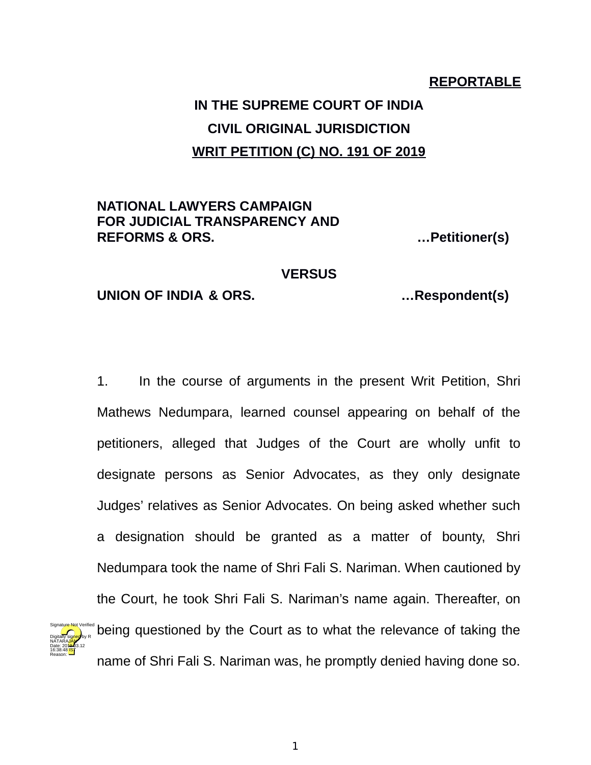## **REPORTABLE**

# **IN THE SUPREME COURT OF INDIA CIVIL ORIGINAL JURISDICTION WRIT PETITION (C) NO. 191 OF 2019**

# **NATIONAL LAWYERS CAMPAIGN FOR JUDICIAL TRANSPARENCY AND REFORMS & ORS. …Petitioner(s)**

#### **VERSUS**

### **UNION OF INDIA & ORS. …Respondent(s)**

Digitally signed by R NATARA<mark>JAN</mark> Date: 2010.03.12 16:38:48<sup>1S</sup> Reason:

1. In the course of arguments in the present Writ Petition, Shri Mathews Nedumpara, learned counsel appearing on behalf of the petitioners, alleged that Judges of the Court are wholly unfit to designate persons as Senior Advocates, as they only designate Judges' relatives as Senior Advocates. On being asked whether such a designation should be granted as a matter of bounty, Shri Nedumpara took the name of Shri Fali S. Nariman. When cautioned by the Court, he took Shri Fali S. Nariman's name again. Thereafter, on being questioned by the Court as to what the relevance of taking the name of Shri Fali S. Nariman was, he promptly denied having done so. Signature Not Verified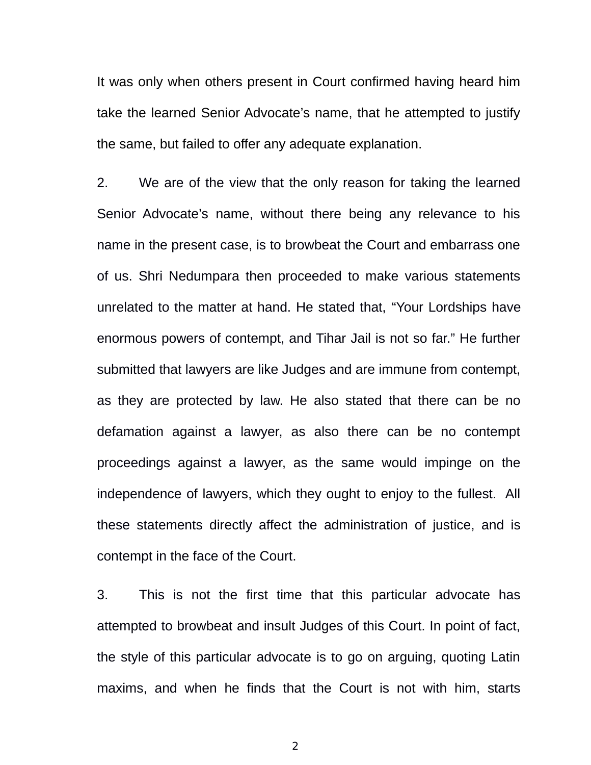It was only when others present in Court confirmed having heard him take the learned Senior Advocate's name, that he attempted to justify the same, but failed to offer any adequate explanation.

2. We are of the view that the only reason for taking the learned Senior Advocate's name, without there being any relevance to his name in the present case, is to browbeat the Court and embarrass one of us. Shri Nedumpara then proceeded to make various statements unrelated to the matter at hand. He stated that, "Your Lordships have enormous powers of contempt, and Tihar Jail is not so far." He further submitted that lawyers are like Judges and are immune from contempt, as they are protected by law. He also stated that there can be no defamation against a lawyer, as also there can be no contempt proceedings against a lawyer, as the same would impinge on the independence of lawyers, which they ought to enjoy to the fullest. All these statements directly affect the administration of justice, and is contempt in the face of the Court.

3. This is not the first time that this particular advocate has attempted to browbeat and insult Judges of this Court. In point of fact, the style of this particular advocate is to go on arguing, quoting Latin maxims, and when he finds that the Court is not with him, starts

2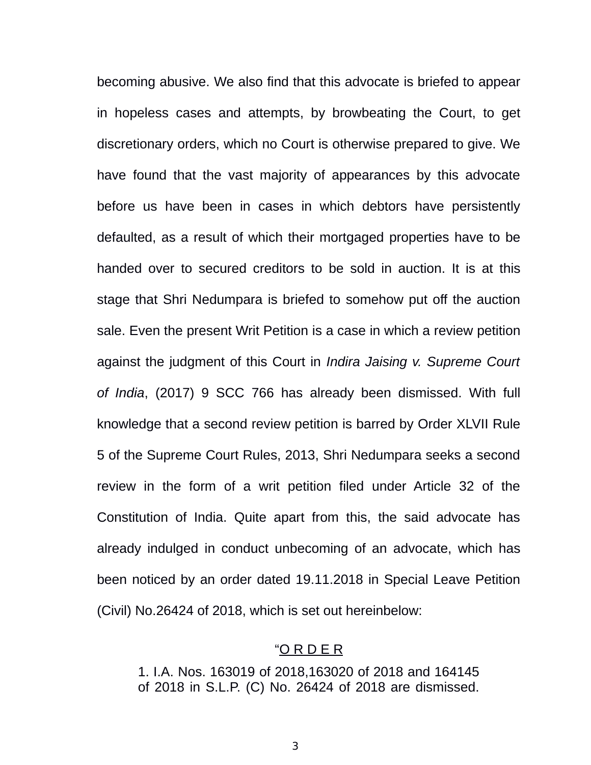becoming abusive. We also find that this advocate is briefed to appear in hopeless cases and attempts, by browbeating the Court, to get discretionary orders, which no Court is otherwise prepared to give. We have found that the vast majority of appearances by this advocate before us have been in cases in which debtors have persistently defaulted, as a result of which their mortgaged properties have to be handed over to secured creditors to be sold in auction. It is at this stage that Shri Nedumpara is briefed to somehow put off the auction sale. Even the present Writ Petition is a case in which a review petition against the judgment of this Court in *Indira Jaising v. Supreme Court of India*, (2017) 9 SCC 766 has already been dismissed. With full knowledge that a second review petition is barred by Order XLVII Rule 5 of the Supreme Court Rules, 2013, Shri Nedumpara seeks a second review in the form of a writ petition filed under Article 32 of the Constitution of India. Quite apart from this, the said advocate has already indulged in conduct unbecoming of an advocate, which has been noticed by an order dated 19.11.2018 in Special Leave Petition (Civil) No.26424 of 2018, which is set out hereinbelow:

#### "O R D E R

1. I.A. Nos. 163019 of 2018,163020 of 2018 and 164145 of 2018 in S.L.P. (C) No. 26424 of 2018 are dismissed.

3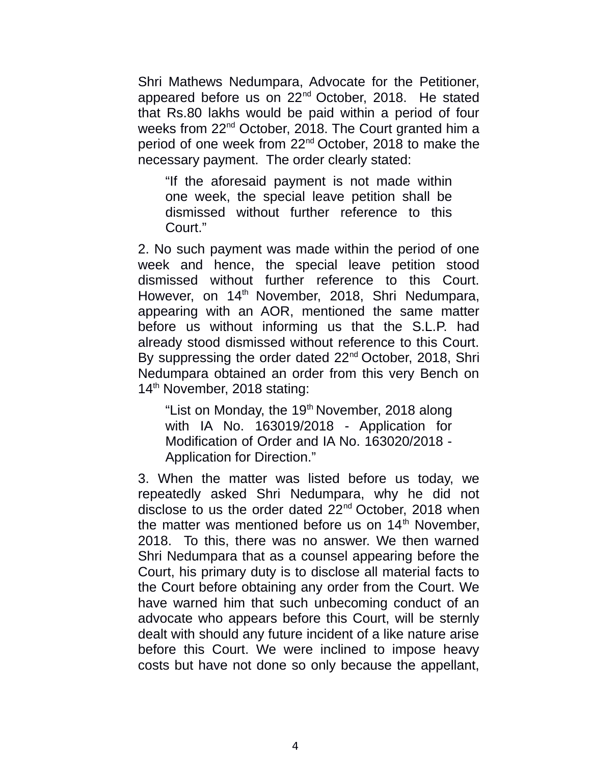Shri Mathews Nedumpara, Advocate for the Petitioner, appeared before us on 22nd October, 2018. He stated that Rs.80 lakhs would be paid within a period of four weeks from 22<sup>nd</sup> October, 2018. The Court granted him a period of one week from 22nd October, 2018 to make the necessary payment. The order clearly stated:

"If the aforesaid payment is not made within one week, the special leave petition shall be dismissed without further reference to this Court."

2. No such payment was made within the period of one week and hence, the special leave petition stood dismissed without further reference to this Court. However, on 14<sup>th</sup> November, 2018, Shri Nedumpara, appearing with an AOR, mentioned the same matter before us without informing us that the S.L.P. had already stood dismissed without reference to this Court. By suppressing the order dated 22<sup>nd</sup> October, 2018, Shri Nedumpara obtained an order from this very Bench on 14<sup>th</sup> November, 2018 stating:

"List on Monday, the  $19<sup>th</sup>$  November, 2018 along with IA No. 163019/2018 - Application for Modification of Order and IA No. 163020/2018 - Application for Direction."

3. When the matter was listed before us today, we repeatedly asked Shri Nedumpara, why he did not disclose to us the order dated 22<sup>nd</sup> October, 2018 when the matter was mentioned before us on  $14<sup>th</sup>$  November. 2018. To this, there was no answer. We then warned Shri Nedumpara that as a counsel appearing before the Court, his primary duty is to disclose all material facts to the Court before obtaining any order from the Court. We have warned him that such unbecoming conduct of an advocate who appears before this Court, will be sternly dealt with should any future incident of a like nature arise before this Court. We were inclined to impose heavy costs but have not done so only because the appellant,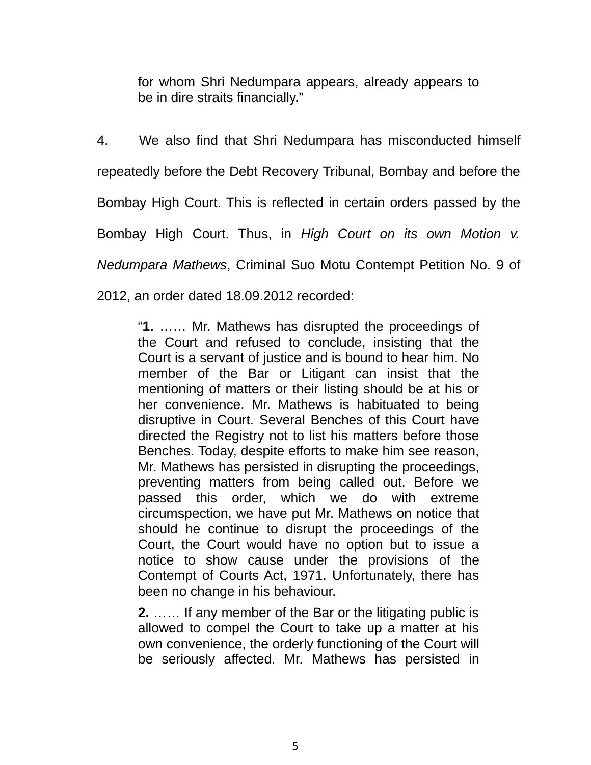for whom Shri Nedumpara appears, already appears to be in dire straits financially."

4. We also find that Shri Nedumpara has misconducted himself repeatedly before the Debt Recovery Tribunal, Bombay and before the Bombay High Court. This is reflected in certain orders passed by the Bombay High Court. Thus, in *High Court on its own Motion v. Nedumpara Mathews*, Criminal Suo Motu Contempt Petition No. 9 of 2012, an order dated 18.09.2012 recorded:

"**1.** …… Mr. Mathews has disrupted the proceedings of the Court and refused to conclude, insisting that the Court is a servant of justice and is bound to hear him. No member of the Bar or Litigant can insist that the mentioning of matters or their listing should be at his or her convenience. Mr. Mathews is habituated to being disruptive in Court. Several Benches of this Court have directed the Registry not to list his matters before those Benches. Today, despite efforts to make him see reason, Mr. Mathews has persisted in disrupting the proceedings, preventing matters from being called out. Before we passed this order, which we do with extreme circumspection, we have put Mr. Mathews on notice that should he continue to disrupt the proceedings of the Court, the Court would have no option but to issue a notice to show cause under the provisions of the Contempt of Courts Act, 1971. Unfortunately, there has been no change in his behaviour.

**2.** …… If any member of the Bar or the litigating public is allowed to compel the Court to take up a matter at his own convenience, the orderly functioning of the Court will be seriously affected. Mr. Mathews has persisted in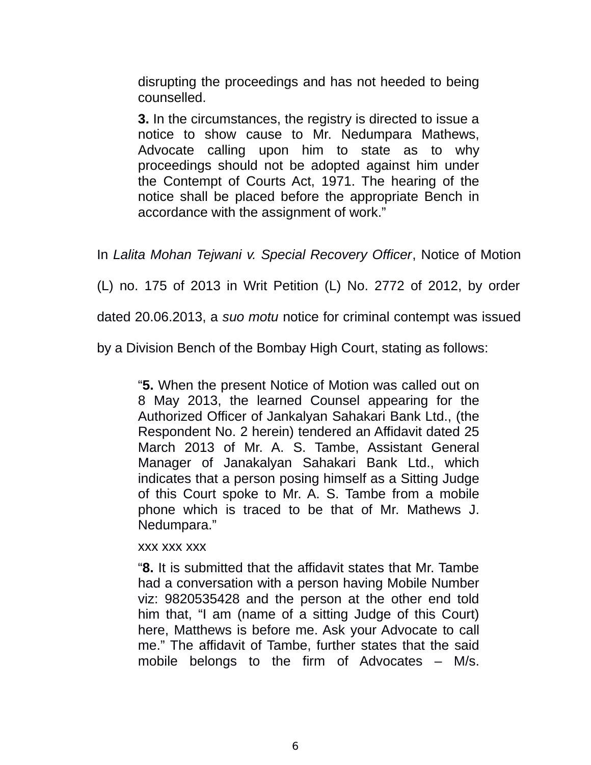disrupting the proceedings and has not heeded to being counselled.

**3.** In the circumstances, the registry is directed to issue a notice to show cause to Mr. Nedumpara Mathews, Advocate calling upon him to state as to why proceedings should not be adopted against him under the Contempt of Courts Act, 1971. The hearing of the notice shall be placed before the appropriate Bench in accordance with the assignment of work."

In *Lalita Mohan Tejwani v. Special Recovery Officer*, Notice of Motion

(L) no. 175 of 2013 in Writ Petition (L) No. 2772 of 2012, by order

dated 20.06.2013, a *suo motu* notice for criminal contempt was issued

by a Division Bench of the Bombay High Court, stating as follows:

"**5.** When the present Notice of Motion was called out on 8 May 2013, the learned Counsel appearing for the Authorized Officer of Jankalyan Sahakari Bank Ltd., (the Respondent No. 2 herein) tendered an Affidavit dated 25 March 2013 of Mr. A. S. Tambe, Assistant General Manager of Janakalyan Sahakari Bank Ltd., which indicates that a person posing himself as a Sitting Judge of this Court spoke to Mr. A. S. Tambe from a mobile phone which is traced to be that of Mr. Mathews J. Nedumpara."

xxx xxx xxx

"**8.** It is submitted that the affidavit states that Mr. Tambe had a conversation with a person having Mobile Number viz: 9820535428 and the person at the other end told him that, "I am (name of a sitting Judge of this Court) here, Matthews is before me. Ask your Advocate to call me." The affidavit of Tambe, further states that the said mobile belongs to the firm of Advocates – M/s.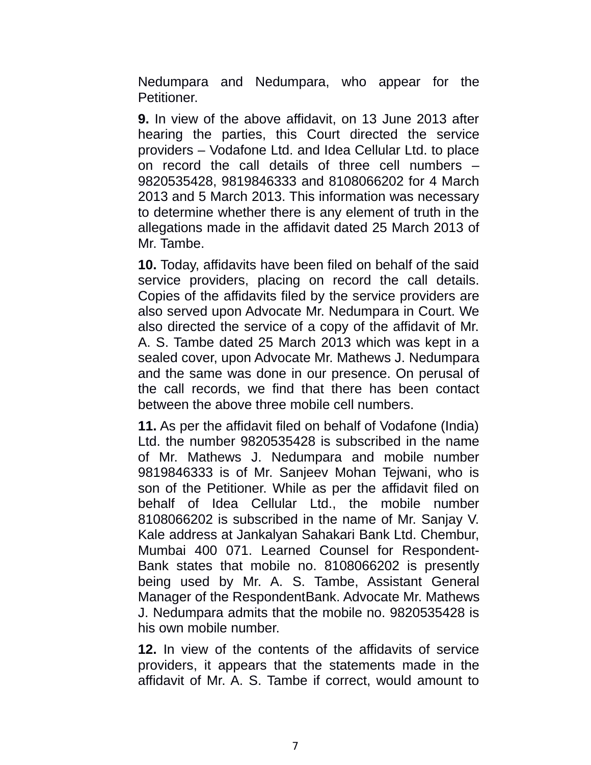Nedumpara and Nedumpara, who appear for the Petitioner.

**9.** In view of the above affidavit, on 13 June 2013 after hearing the parties, this Court directed the service providers – Vodafone Ltd. and Idea Cellular Ltd. to place on record the call details of three cell numbers – 9820535428, 9819846333 and 8108066202 for 4 March 2013 and 5 March 2013. This information was necessary to determine whether there is any element of truth in the allegations made in the affidavit dated 25 March 2013 of Mr. Tambe.

**10.** Today, affidavits have been filed on behalf of the said service providers, placing on record the call details. Copies of the affidavits filed by the service providers are also served upon Advocate Mr. Nedumpara in Court. We also directed the service of a copy of the affidavit of Mr. A. S. Tambe dated 25 March 2013 which was kept in a sealed cover, upon Advocate Mr. Mathews J. Nedumpara and the same was done in our presence. On perusal of the call records, we find that there has been contact between the above three mobile cell numbers.

**11.** As per the affidavit filed on behalf of Vodafone (India) Ltd. the number 9820535428 is subscribed in the name of Mr. Mathews J. Nedumpara and mobile number 9819846333 is of Mr. Sanjeev Mohan Tejwani, who is son of the Petitioner. While as per the affidavit filed on behalf of Idea Cellular Ltd., the mobile number 8108066202 is subscribed in the name of Mr. Sanjay V. Kale address at Jankalyan Sahakari Bank Ltd. Chembur, Mumbai 400 071. Learned Counsel for Respondent-Bank states that mobile no. 8108066202 is presently being used by Mr. A. S. Tambe, Assistant General Manager of the RespondentBank. Advocate Mr. Mathews J. Nedumpara admits that the mobile no. 9820535428 is his own mobile number.

**12.** In view of the contents of the affidavits of service providers, it appears that the statements made in the affidavit of Mr. A. S. Tambe if correct, would amount to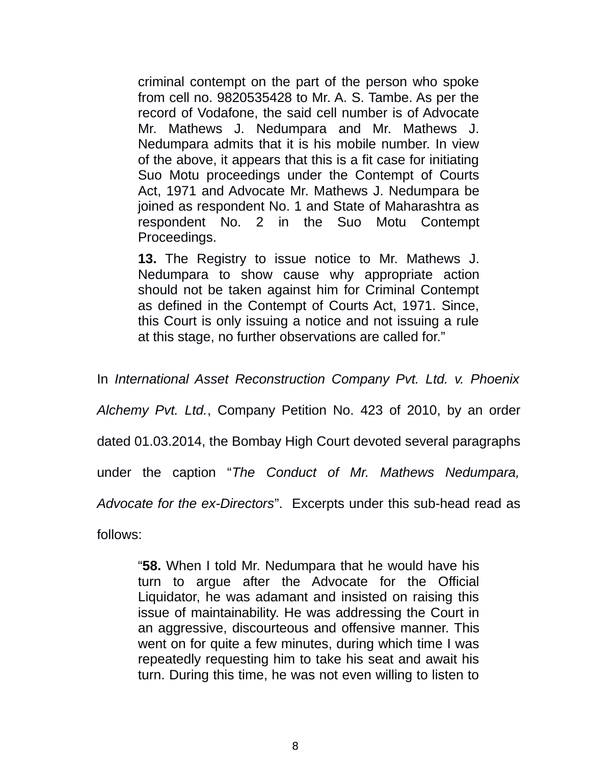criminal contempt on the part of the person who spoke from cell no. 9820535428 to Mr. A. S. Tambe. As per the record of Vodafone, the said cell number is of Advocate Mr. Mathews J. Nedumpara and Mr. Mathews J. Nedumpara admits that it is his mobile number. In view of the above, it appears that this is a fit case for initiating Suo Motu proceedings under the Contempt of Courts Act, 1971 and Advocate Mr. Mathews J. Nedumpara be joined as respondent No. 1 and State of Maharashtra as respondent No. 2 in the Suo Motu Contempt Proceedings.

**13.** The Registry to issue notice to Mr. Mathews J. Nedumpara to show cause why appropriate action should not be taken against him for Criminal Contempt as defined in the Contempt of Courts Act, 1971. Since, this Court is only issuing a notice and not issuing a rule at this stage, no further observations are called for."

In *International Asset Reconstruction Company Pvt. Ltd. v. Phoenix*

*Alchemy Pvt. Ltd.*, Company Petition No. 423 of 2010, by an order

dated 01.03.2014, the Bombay High Court devoted several paragraphs

under the caption "*The Conduct of Mr. Mathews Nedumpara,*

*Advocate for the ex-Directors*". Excerpts under this sub-head read as

follows:

"**58.** When I told Mr. Nedumpara that he would have his turn to argue after the Advocate for the Official Liquidator, he was adamant and insisted on raising this issue of maintainability. He was addressing the Court in an aggressive, discourteous and offensive manner. This went on for quite a few minutes, during which time I was repeatedly requesting him to take his seat and await his turn. During this time, he was not even willing to listen to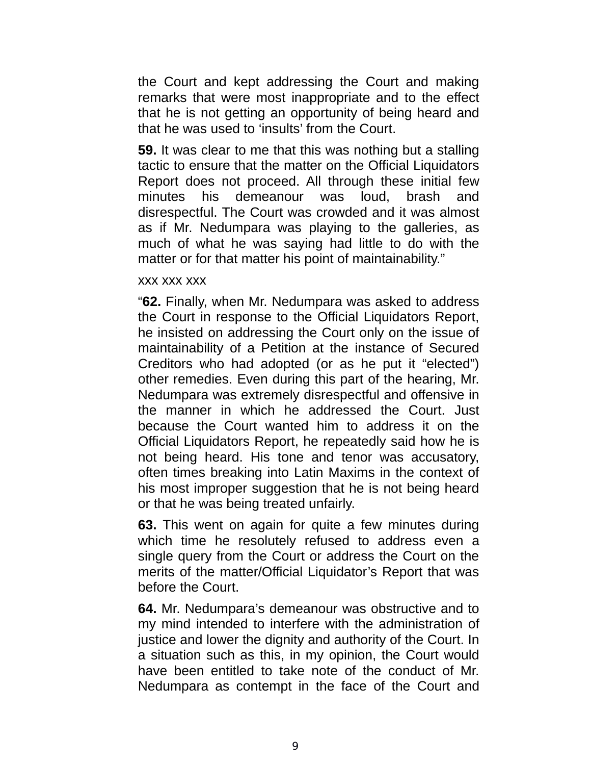the Court and kept addressing the Court and making remarks that were most inappropriate and to the effect that he is not getting an opportunity of being heard and that he was used to 'insults' from the Court.

**59.** It was clear to me that this was nothing but a stalling tactic to ensure that the matter on the Official Liquidators Report does not proceed. All through these initial few minutes his demeanour was loud, brash and disrespectful. The Court was crowded and it was almost as if Mr. Nedumpara was playing to the galleries, as much of what he was saying had little to do with the matter or for that matter his point of maintainability."

#### xxx xxx xxx

"**62.** Finally, when Mr. Nedumpara was asked to address the Court in response to the Official Liquidators Report, he insisted on addressing the Court only on the issue of maintainability of a Petition at the instance of Secured Creditors who had adopted (or as he put it "elected") other remedies. Even during this part of the hearing, Mr. Nedumpara was extremely disrespectful and offensive in the manner in which he addressed the Court. Just because the Court wanted him to address it on the Official Liquidators Report, he repeatedly said how he is not being heard. His tone and tenor was accusatory, often times breaking into Latin Maxims in the context of his most improper suggestion that he is not being heard or that he was being treated unfairly.

**63.** This went on again for quite a few minutes during which time he resolutely refused to address even a single query from the Court or address the Court on the merits of the matter/Official Liquidator's Report that was before the Court.

**64.** Mr. Nedumpara's demeanour was obstructive and to my mind intended to interfere with the administration of justice and lower the dignity and authority of the Court. In a situation such as this, in my opinion, the Court would have been entitled to take note of the conduct of Mr. Nedumpara as contempt in the face of the Court and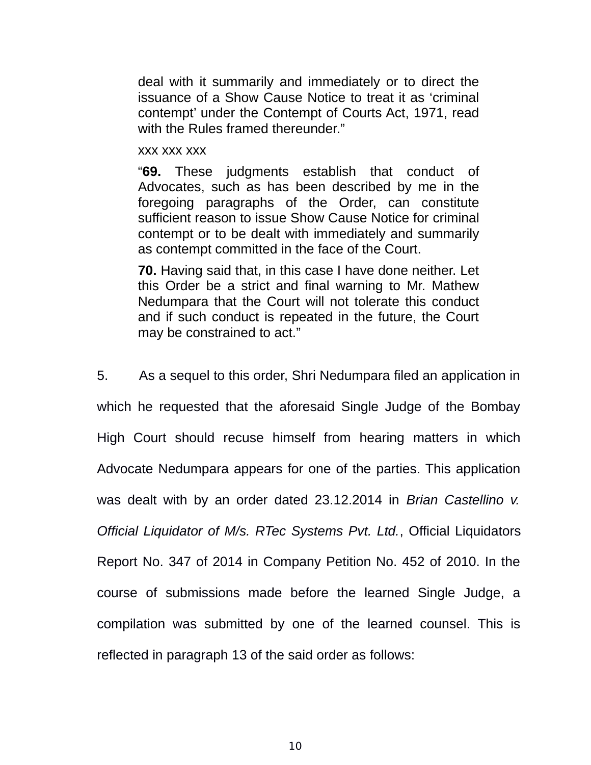deal with it summarily and immediately or to direct the issuance of a Show Cause Notice to treat it as 'criminal contempt' under the Contempt of Courts Act, 1971, read with the Rules framed thereunder."

#### xxx xxx xxx

"**69.** These judgments establish that conduct of Advocates, such as has been described by me in the foregoing paragraphs of the Order, can constitute sufficient reason to issue Show Cause Notice for criminal contempt or to be dealt with immediately and summarily as contempt committed in the face of the Court.

**70.** Having said that, in this case I have done neither. Let this Order be a strict and final warning to Mr. Mathew Nedumpara that the Court will not tolerate this conduct and if such conduct is repeated in the future, the Court may be constrained to act."

5. As a sequel to this order, Shri Nedumpara filed an application in which he requested that the aforesaid Single Judge of the Bombay High Court should recuse himself from hearing matters in which Advocate Nedumpara appears for one of the parties. This application was dealt with by an order dated 23.12.2014 in *Brian Castellino v. Official Liquidator of M/s. RTec Systems Pvt. Ltd.*, Official Liquidators Report No. 347 of 2014 in Company Petition No. 452 of 2010. In the course of submissions made before the learned Single Judge, a compilation was submitted by one of the learned counsel. This is reflected in paragraph 13 of the said order as follows: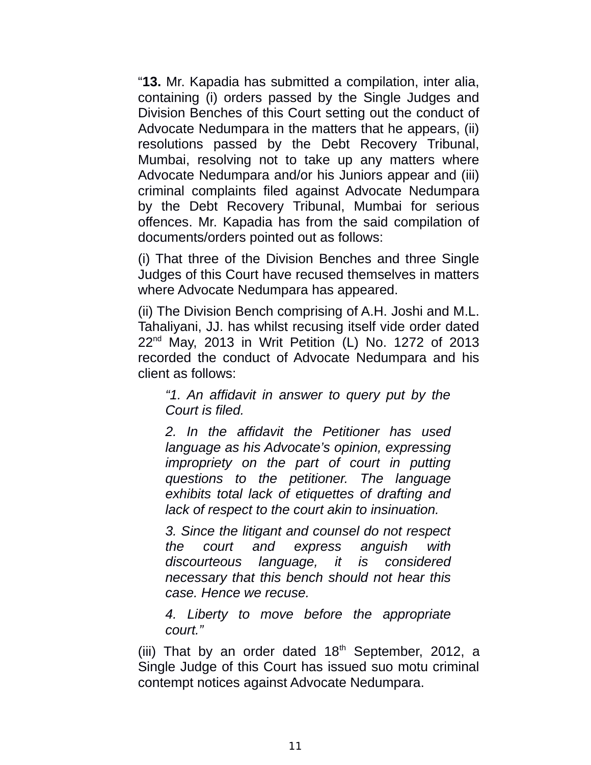"**13.** Mr. Kapadia has submitted a compilation, inter alia, containing (i) orders passed by the Single Judges and Division Benches of this Court setting out the conduct of Advocate Nedumpara in the matters that he appears, (ii) resolutions passed by the Debt Recovery Tribunal, Mumbai, resolving not to take up any matters where Advocate Nedumpara and/or his Juniors appear and (iii) criminal complaints filed against Advocate Nedumpara by the Debt Recovery Tribunal, Mumbai for serious offences. Mr. Kapadia has from the said compilation of documents/orders pointed out as follows:

(i) That three of the Division Benches and three Single Judges of this Court have recused themselves in matters where Advocate Nedumpara has appeared.

(ii) The Division Bench comprising of A.H. Joshi and M.L. Tahaliyani, JJ. has whilst recusing itself vide order dated 22nd May, 2013 in Writ Petition (L) No. 1272 of 2013 recorded the conduct of Advocate Nedumpara and his client as follows:

*"1. An affidavit in answer to query put by the Court is filed.*

*2. In the affidavit the Petitioner has used language as his Advocate's opinion, expressing impropriety on the part of court in putting questions to the petitioner. The language exhibits total lack of etiquettes of drafting and lack of respect to the court akin to insinuation.*

*3. Since the litigant and counsel do not respect the court and express anguish with discourteous language, it is considered necessary that this bench should not hear this case. Hence we recuse.*

*4. Liberty to move before the appropriate court."*

(iii) That by an order dated  $18<sup>th</sup>$  September, 2012, a Single Judge of this Court has issued suo motu criminal contempt notices against Advocate Nedumpara.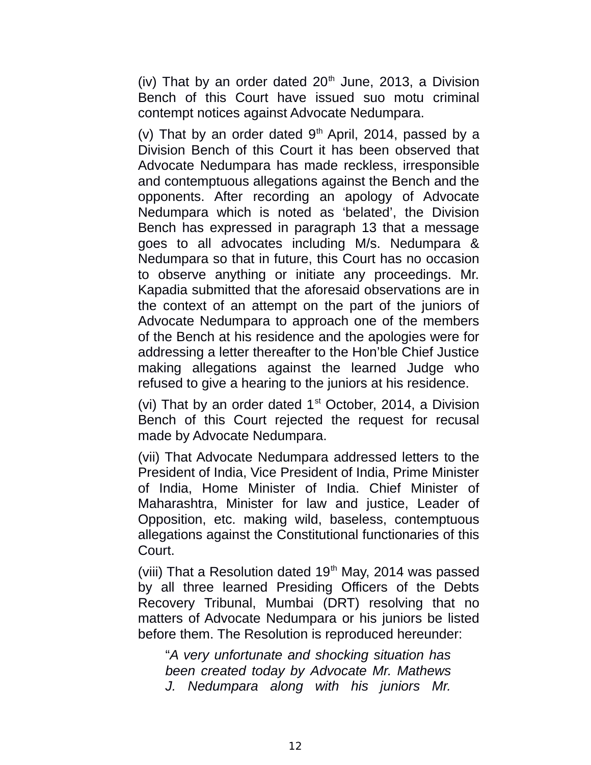(iv) That by an order dated  $20<sup>th</sup>$  June, 2013, a Division Bench of this Court have issued suo motu criminal contempt notices against Advocate Nedumpara.

(v) That by an order dated  $9<sup>th</sup>$  April, 2014, passed by a Division Bench of this Court it has been observed that Advocate Nedumpara has made reckless, irresponsible and contemptuous allegations against the Bench and the opponents. After recording an apology of Advocate Nedumpara which is noted as 'belated', the Division Bench has expressed in paragraph 13 that a message goes to all advocates including M/s. Nedumpara & Nedumpara so that in future, this Court has no occasion to observe anything or initiate any proceedings. Mr. Kapadia submitted that the aforesaid observations are in the context of an attempt on the part of the juniors of Advocate Nedumpara to approach one of the members of the Bench at his residence and the apologies were for addressing a letter thereafter to the Hon'ble Chief Justice making allegations against the learned Judge who refused to give a hearing to the juniors at his residence.

(vi) That by an order dated  $1<sup>st</sup>$  October, 2014, a Division Bench of this Court rejected the request for recusal made by Advocate Nedumpara.

(vii) That Advocate Nedumpara addressed letters to the President of India, Vice President of India, Prime Minister of India, Home Minister of India. Chief Minister of Maharashtra, Minister for law and justice, Leader of Opposition, etc. making wild, baseless, contemptuous allegations against the Constitutional functionaries of this Court.

(viii) That a Resolution dated  $19<sup>th</sup>$  May, 2014 was passed by all three learned Presiding Officers of the Debts Recovery Tribunal, Mumbai (DRT) resolving that no matters of Advocate Nedumpara or his juniors be listed before them. The Resolution is reproduced hereunder:

"*A very unfortunate and shocking situation has been created today by Advocate Mr. Mathews J. Nedumpara along with his juniors Mr.*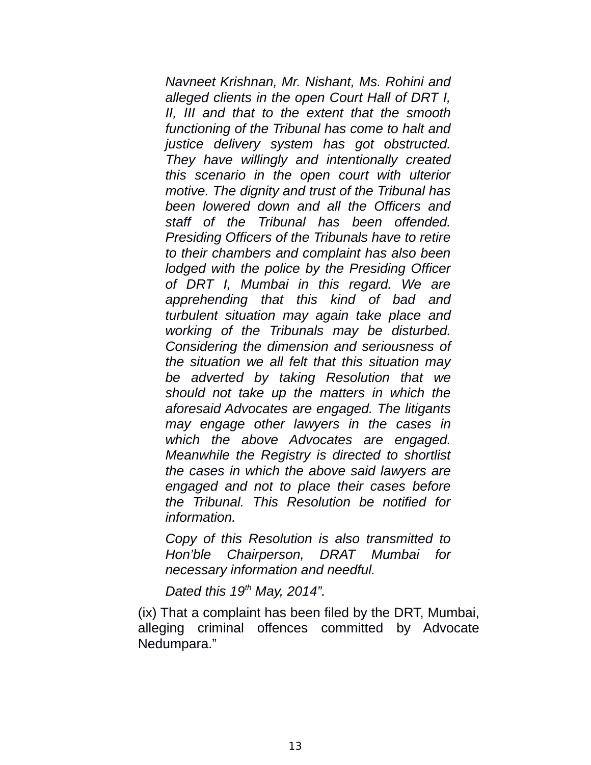*Navneet Krishnan, Mr. Nishant, Ms. Rohini and alleged clients in the open Court Hall of DRT I, II, III and that to the extent that the smooth functioning of the Tribunal has come to halt and justice delivery system has got obstructed. They have willingly and intentionally created this scenario in the open court with ulterior motive. The dignity and trust of the Tribunal has been lowered down and all the Officers and staff of the Tribunal has been offended. Presiding Officers of the Tribunals have to retire to their chambers and complaint has also been lodged with the police by the Presiding Officer of DRT I, Mumbai in this regard. We are apprehending that this kind of bad and turbulent situation may again take place and working of the Tribunals may be disturbed. Considering the dimension and seriousness of the situation we all felt that this situation may be adverted by taking Resolution that we should not take up the matters in which the aforesaid Advocates are engaged. The litigants may engage other lawyers in the cases in which the above Advocates are engaged. Meanwhile the Registry is directed to shortlist the cases in which the above said lawyers are engaged and not to place their cases before the Tribunal. This Resolution be notified for information.*

*Copy of this Resolution is also transmitted to Hon'ble Chairperson, DRAT Mumbai for necessary information and needful.*

*Dated this 19th May, 2014".*

(ix) That a complaint has been filed by the DRT, Mumbai, alleging criminal offences committed by Advocate Nedumpara."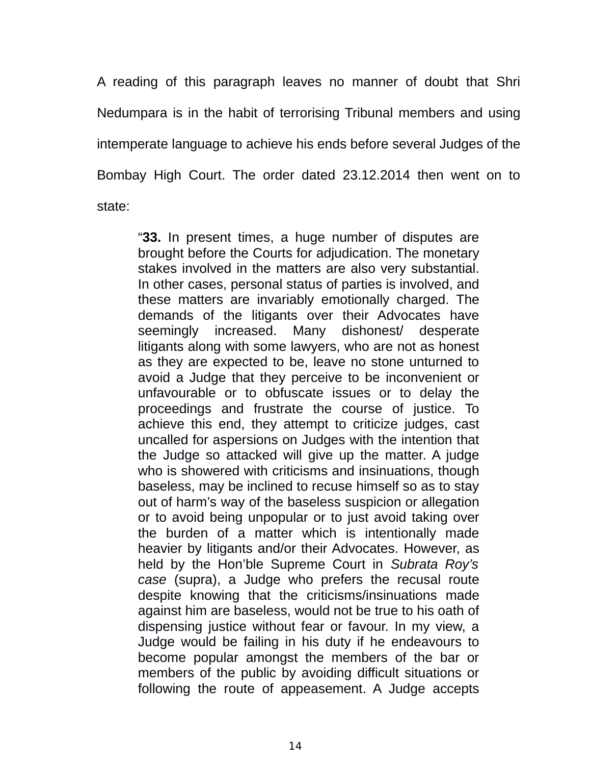A reading of this paragraph leaves no manner of doubt that Shri Nedumpara is in the habit of terrorising Tribunal members and using intemperate language to achieve his ends before several Judges of the Bombay High Court. The order dated 23.12.2014 then went on to state:

"**33.** In present times, a huge number of disputes are brought before the Courts for adjudication. The monetary stakes involved in the matters are also very substantial. In other cases, personal status of parties is involved, and these matters are invariably emotionally charged. The demands of the litigants over their Advocates have seemingly increased. Many dishonest/ desperate litigants along with some lawyers, who are not as honest as they are expected to be, leave no stone unturned to avoid a Judge that they perceive to be inconvenient or unfavourable or to obfuscate issues or to delay the proceedings and frustrate the course of justice. To achieve this end, they attempt to criticize judges, cast uncalled for aspersions on Judges with the intention that the Judge so attacked will give up the matter. A judge who is showered with criticisms and insinuations, though baseless, may be inclined to recuse himself so as to stay out of harm's way of the baseless suspicion or allegation or to avoid being unpopular or to just avoid taking over the burden of a matter which is intentionally made heavier by litigants and/or their Advocates. However, as held by the Hon'ble Supreme Court in *Subrata Roy's case* (supra), a Judge who prefers the recusal route despite knowing that the criticisms/insinuations made against him are baseless, would not be true to his oath of dispensing justice without fear or favour. In my view, a Judge would be failing in his duty if he endeavours to become popular amongst the members of the bar or members of the public by avoiding difficult situations or following the route of appeasement. A Judge accepts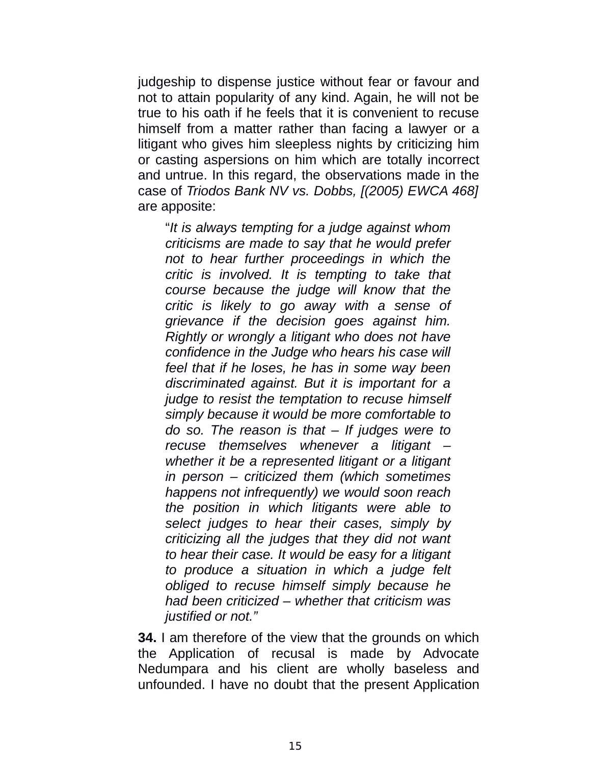judgeship to dispense justice without fear or favour and not to attain popularity of any kind. Again, he will not be true to his oath if he feels that it is convenient to recuse himself from a matter rather than facing a lawyer or a litigant who gives him sleepless nights by criticizing him or casting aspersions on him which are totally incorrect and untrue. In this regard, the observations made in the case of *Triodos Bank NV vs. Dobbs, [(2005) EWCA 468]* are apposite:

"*It is always tempting for a judge against whom criticisms are made to say that he would prefer not to hear further proceedings in which the critic is involved. It is tempting to take that course because the judge will know that the critic is likely to go away with a sense of grievance if the decision goes against him. Rightly or wrongly a litigant who does not have confidence in the Judge who hears his case will feel that if he loses, he has in some way been discriminated against. But it is important for a judge to resist the temptation to recuse himself simply because it would be more comfortable to do so. The reason is that – If judges were to recuse themselves whenever a litigant – whether it be a represented litigant or a litigant in person – criticized them (which sometimes happens not infrequently) we would soon reach the position in which litigants were able to select judges to hear their cases, simply by criticizing all the judges that they did not want to hear their case. It would be easy for a litigant to produce a situation in which a judge felt obliged to recuse himself simply because he had been criticized – whether that criticism was justified or not."*

**34.** I am therefore of the view that the grounds on which the Application of recusal is made by Advocate Nedumpara and his client are wholly baseless and unfounded. I have no doubt that the present Application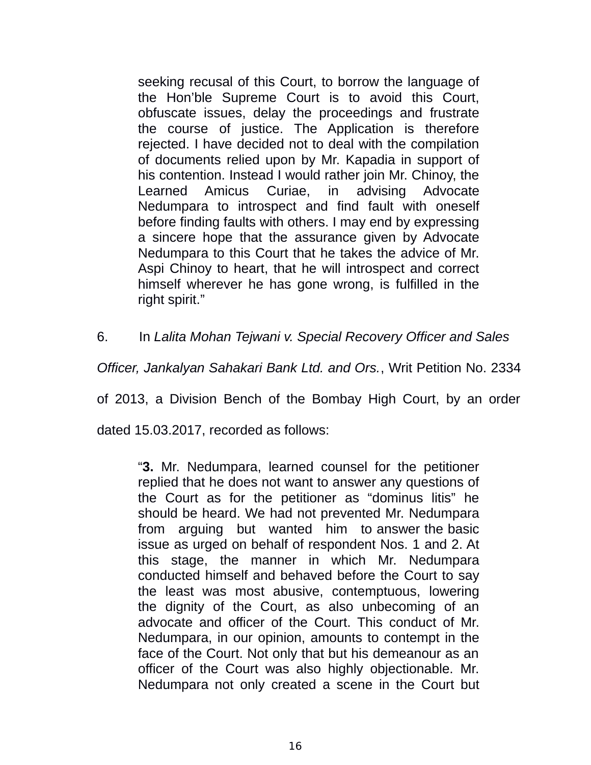seeking recusal of this Court, to borrow the language of the Hon'ble Supreme Court is to avoid this Court, obfuscate issues, delay the proceedings and frustrate the course of justice. The Application is therefore rejected. I have decided not to deal with the compilation of documents relied upon by Mr. Kapadia in support of his contention. Instead I would rather join Mr. Chinoy, the Learned Amicus Curiae, in advising Advocate Nedumpara to introspect and find fault with oneself before finding faults with others. I may end by expressing a sincere hope that the assurance given by Advocate Nedumpara to this Court that he takes the advice of Mr. Aspi Chinoy to heart, that he will introspect and correct himself wherever he has gone wrong, is fulfilled in the right spirit."

6. In *Lalita Mohan Tejwani v. Special Recovery Officer and Sales* 

*Officer, Jankalyan Sahakari Bank Ltd. and Ors.*, Writ Petition No. 2334

of 2013, a Division Bench of the Bombay High Court, by an order

dated 15.03.2017, recorded as follows:

"**3.** Mr. Nedumpara, learned counsel for the petitioner replied that he does not want to answer any questions of the Court as for the petitioner as "dominus litis" he should be heard. We had not prevented Mr. Nedumpara from arguing but wanted him to answer the basic issue as urged on behalf of respondent Nos. 1 and 2. At this stage, the manner in which Mr. Nedumpara conducted himself and behaved before the Court to say the least was most abusive, contemptuous, lowering the dignity of the Court, as also unbecoming of an advocate and officer of the Court. This conduct of Mr. Nedumpara, in our opinion, amounts to contempt in the face of the Court. Not only that but his demeanour as an officer of the Court was also highly objectionable. Mr. Nedumpara not only created a scene in the Court but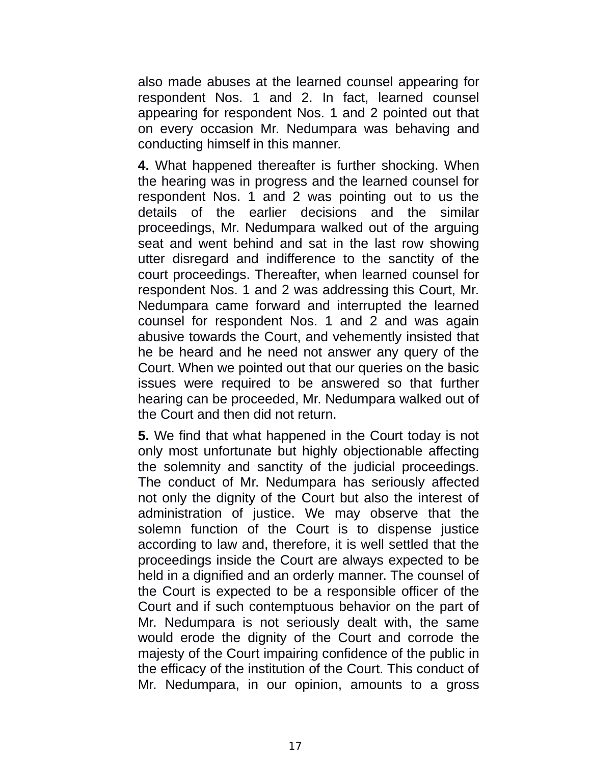also made abuses at the learned counsel appearing for respondent Nos. 1 and 2. In fact, learned counsel appearing for respondent Nos. 1 and 2 pointed out that on every occasion Mr. Nedumpara was behaving and conducting himself in this manner.

**4.** What happened thereafter is further shocking. When the hearing was in progress and the learned counsel for respondent Nos. 1 and 2 was pointing out to us the details of the earlier decisions and the similar proceedings, Mr. Nedumpara walked out of the arguing seat and went behind and sat in the last row showing utter disregard and indifference to the sanctity of the court proceedings. Thereafter, when learned counsel for respondent Nos. 1 and 2 was addressing this Court, Mr. Nedumpara came forward and interrupted the learned counsel for respondent Nos. 1 and 2 and was again abusive towards the Court, and vehemently insisted that he be heard and he need not answer any query of the Court. When we pointed out that our queries on the basic issues were required to be answered so that further hearing can be proceeded, Mr. Nedumpara walked out of the Court and then did not return.

**5.** We find that what happened in the Court today is not only most unfortunate but highly objectionable affecting the solemnity and sanctity of the judicial proceedings. The conduct of Mr. Nedumpara has seriously affected not only the dignity of the Court but also the interest of administration of justice. We may observe that the solemn function of the Court is to dispense justice according to law and, therefore, it is well settled that the proceedings inside the Court are always expected to be held in a dignified and an orderly manner. The counsel of the Court is expected to be a responsible officer of the Court and if such contemptuous behavior on the part of Mr. Nedumpara is not seriously dealt with, the same would erode the dignity of the Court and corrode the majesty of the Court impairing confidence of the public in the efficacy of the institution of the Court. This conduct of Mr. Nedumpara, in our opinion, amounts to a gross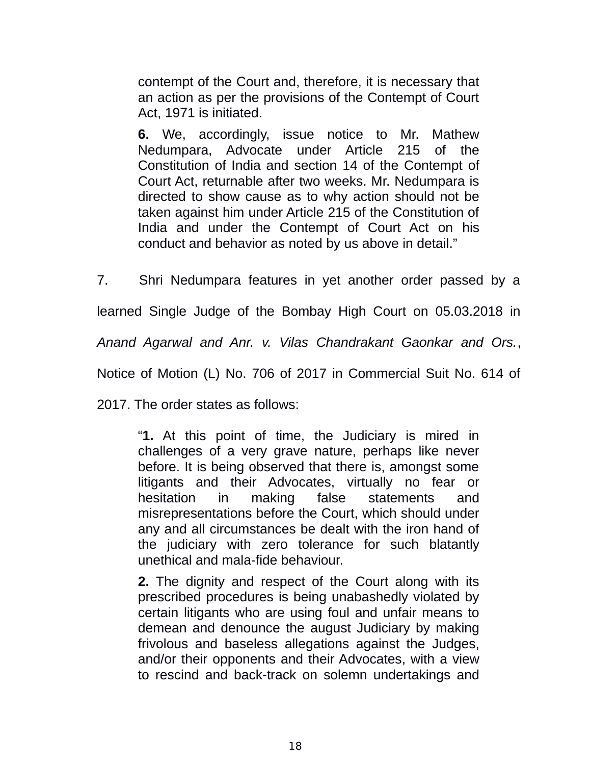contempt of the Court and, therefore, it is necessary that an action as per the provisions of the Contempt of Court Act, 1971 is initiated.

**6.** We, accordingly, issue notice to Mr. Mathew Nedumpara, Advocate under Article 215 of the Constitution of India and section 14 of the Contempt of Court Act, returnable after two weeks. Mr. Nedumpara is directed to show cause as to why action should not be taken against him under Article 215 of the Constitution of India and under the Contempt of Court Act on his conduct and behavior as noted by us above in detail."

7. Shri Nedumpara features in yet another order passed by a learned Single Judge of the Bombay High Court on 05.03.2018 in *Anand Agarwal and Anr. v. Vilas Chandrakant Gaonkar and Ors.*, Notice of Motion (L) No. 706 of 2017 in Commercial Suit No. 614 of

2017. The order states as follows:

"**1.** At this point of time, the Judiciary is mired in challenges of a very grave nature, perhaps like never before. It is being observed that there is, amongst some litigants and their Advocates, virtually no fear or hesitation in making false statements and misrepresentations before the Court, which should under any and all circumstances be dealt with the iron hand of the judiciary with zero tolerance for such blatantly unethical and mala-fide behaviour.

**2.** The dignity and respect of the Court along with its prescribed procedures is being unabashedly violated by certain litigants who are using foul and unfair means to demean and denounce the august Judiciary by making frivolous and baseless allegations against the Judges, and/or their opponents and their Advocates, with a view to rescind and back-track on solemn undertakings and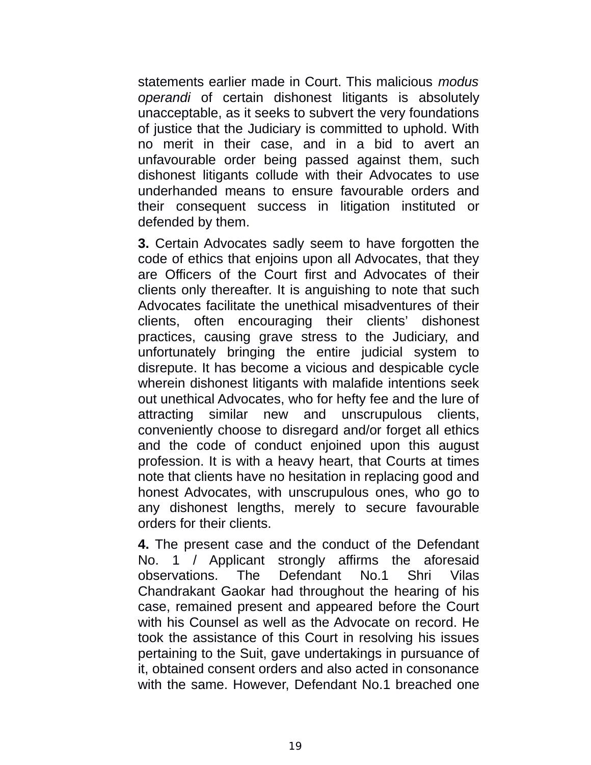statements earlier made in Court. This malicious *modus operandi* of certain dishonest litigants is absolutely unacceptable, as it seeks to subvert the very foundations of justice that the Judiciary is committed to uphold. With no merit in their case, and in a bid to avert an unfavourable order being passed against them, such dishonest litigants collude with their Advocates to use underhanded means to ensure favourable orders and their consequent success in litigation instituted or defended by them.

**3.** Certain Advocates sadly seem to have forgotten the code of ethics that enjoins upon all Advocates, that they are Officers of the Court first and Advocates of their clients only thereafter. It is anguishing to note that such Advocates facilitate the unethical misadventures of their clients, often encouraging their clients' dishonest practices, causing grave stress to the Judiciary, and unfortunately bringing the entire judicial system to disrepute. It has become a vicious and despicable cycle wherein dishonest litigants with malafide intentions seek out unethical Advocates, who for hefty fee and the lure of attracting similar new and unscrupulous clients, conveniently choose to disregard and/or forget all ethics and the code of conduct enjoined upon this august profession. It is with a heavy heart, that Courts at times note that clients have no hesitation in replacing good and honest Advocates, with unscrupulous ones, who go to any dishonest lengths, merely to secure favourable orders for their clients.

**4.** The present case and the conduct of the Defendant No. 1 / Applicant strongly affirms the aforesaid observations. The Defendant No.1 Shri Vilas Chandrakant Gaokar had throughout the hearing of his case, remained present and appeared before the Court with his Counsel as well as the Advocate on record. He took the assistance of this Court in resolving his issues pertaining to the Suit, gave undertakings in pursuance of it, obtained consent orders and also acted in consonance with the same. However, Defendant No.1 breached one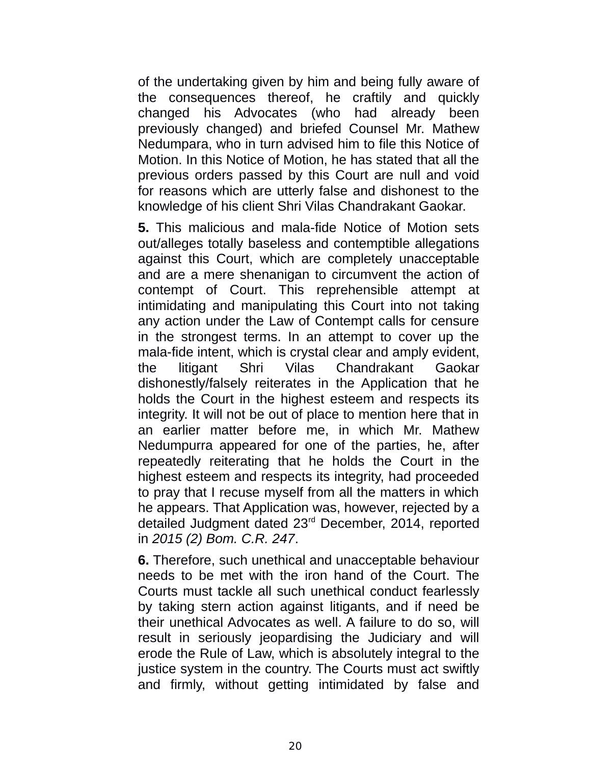of the undertaking given by him and being fully aware of the consequences thereof, he craftily and quickly changed his Advocates (who had already been previously changed) and briefed Counsel Mr. Mathew Nedumpara, who in turn advised him to file this Notice of Motion. In this Notice of Motion, he has stated that all the previous orders passed by this Court are null and void for reasons which are utterly false and dishonest to the knowledge of his client Shri Vilas Chandrakant Gaokar.

**5.** This malicious and mala-fide Notice of Motion sets out/alleges totally baseless and contemptible allegations against this Court, which are completely unacceptable and are a mere shenanigan to circumvent the action of contempt of Court. This reprehensible attempt at intimidating and manipulating this Court into not taking any action under the Law of Contempt calls for censure in the strongest terms. In an attempt to cover up the mala-fide intent, which is crystal clear and amply evident, the litigant Shri Vilas Chandrakant Gaokar dishonestly/falsely reiterates in the Application that he holds the Court in the highest esteem and respects its integrity. It will not be out of place to mention here that in an earlier matter before me, in which Mr. Mathew Nedumpurra appeared for one of the parties, he, after repeatedly reiterating that he holds the Court in the highest esteem and respects its integrity, had proceeded to pray that I recuse myself from all the matters in which he appears. That Application was, however, rejected by a detailed Judgment dated 23rd December, 2014, reported in *2015 (2) Bom. C.R. 247*.

**6.** Therefore, such unethical and unacceptable behaviour needs to be met with the iron hand of the Court. The Courts must tackle all such unethical conduct fearlessly by taking stern action against litigants, and if need be their unethical Advocates as well. A failure to do so, will result in seriously jeopardising the Judiciary and will erode the Rule of Law, which is absolutely integral to the justice system in the country. The Courts must act swiftly and firmly, without getting intimidated by false and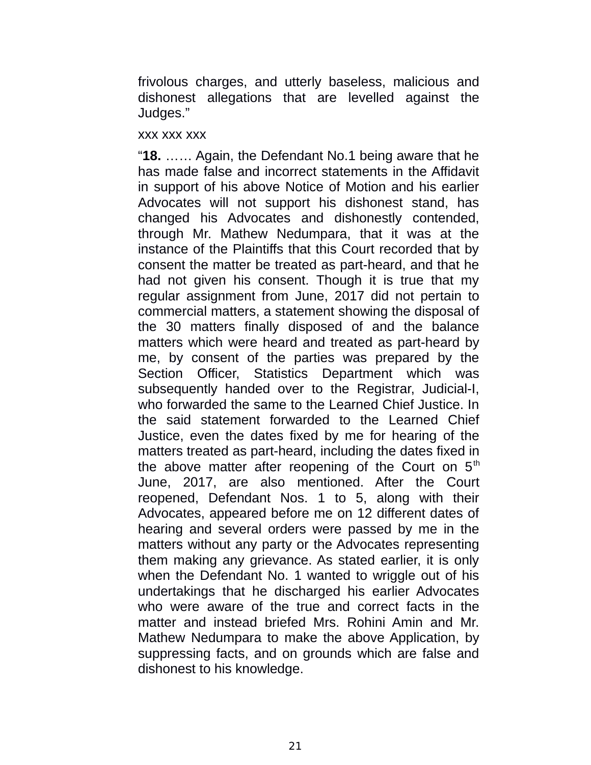frivolous charges, and utterly baseless, malicious and dishonest allegations that are levelled against the Judges."

#### xxx xxx xxx

"**18.** …… Again, the Defendant No.1 being aware that he has made false and incorrect statements in the Affidavit in support of his above Notice of Motion and his earlier Advocates will not support his dishonest stand, has changed his Advocates and dishonestly contended, through Mr. Mathew Nedumpara, that it was at the instance of the Plaintiffs that this Court recorded that by consent the matter be treated as part-heard, and that he had not given his consent. Though it is true that my regular assignment from June, 2017 did not pertain to commercial matters, a statement showing the disposal of the 30 matters finally disposed of and the balance matters which were heard and treated as part-heard by me, by consent of the parties was prepared by the Section Officer, Statistics Department which was subsequently handed over to the Registrar, Judicial-I, who forwarded the same to the Learned Chief Justice. In the said statement forwarded to the Learned Chief Justice, even the dates fixed by me for hearing of the matters treated as part-heard, including the dates fixed in the above matter after reopening of the Court on  $5<sup>th</sup>$ June, 2017, are also mentioned. After the Court reopened, Defendant Nos. 1 to 5, along with their Advocates, appeared before me on 12 different dates of hearing and several orders were passed by me in the matters without any party or the Advocates representing them making any grievance. As stated earlier, it is only when the Defendant No. 1 wanted to wriggle out of his undertakings that he discharged his earlier Advocates who were aware of the true and correct facts in the matter and instead briefed Mrs. Rohini Amin and Mr. Mathew Nedumpara to make the above Application, by suppressing facts, and on grounds which are false and dishonest to his knowledge.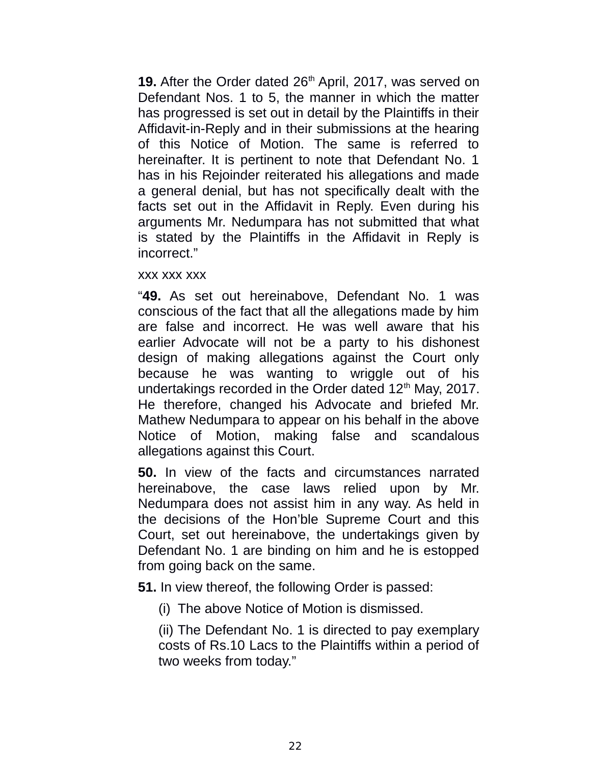19. After the Order dated 26<sup>th</sup> April, 2017, was served on Defendant Nos. 1 to 5, the manner in which the matter has progressed is set out in detail by the Plaintiffs in their Affidavit-in-Reply and in their submissions at the hearing of this Notice of Motion. The same is referred to hereinafter. It is pertinent to note that Defendant No. 1 has in his Rejoinder reiterated his allegations and made a general denial, but has not specifically dealt with the facts set out in the Affidavit in Reply. Even during his arguments Mr. Nedumpara has not submitted that what is stated by the Plaintiffs in the Affidavit in Reply is incorrect."

#### xxx xxx xxx

"**49.** As set out hereinabove, Defendant No. 1 was conscious of the fact that all the allegations made by him are false and incorrect. He was well aware that his earlier Advocate will not be a party to his dishonest design of making allegations against the Court only because he was wanting to wriggle out of his undertakings recorded in the Order dated  $12<sup>th</sup>$  May, 2017. He therefore, changed his Advocate and briefed Mr. Mathew Nedumpara to appear on his behalf in the above Notice of Motion, making false and scandalous allegations against this Court.

**50.** In view of the facts and circumstances narrated hereinabove, the case laws relied upon by Mr. Nedumpara does not assist him in any way. As held in the decisions of the Hon'ble Supreme Court and this Court, set out hereinabove, the undertakings given by Defendant No. 1 are binding on him and he is estopped from going back on the same.

**51.** In view thereof, the following Order is passed:

(i) The above Notice of Motion is dismissed.

(ii) The Defendant No. 1 is directed to pay exemplary costs of Rs.10 Lacs to the Plaintiffs within a period of two weeks from today."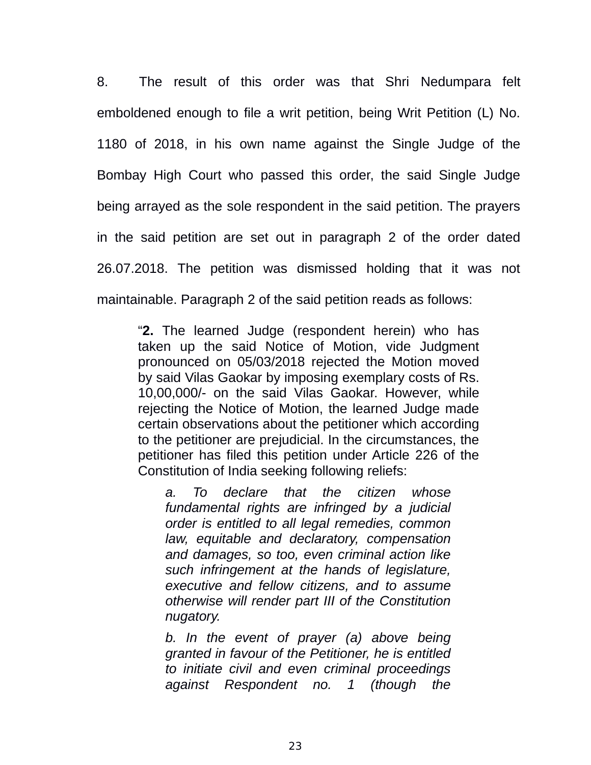8. The result of this order was that Shri Nedumpara felt emboldened enough to file a writ petition, being Writ Petition (L) No. 1180 of 2018, in his own name against the Single Judge of the Bombay High Court who passed this order, the said Single Judge being arrayed as the sole respondent in the said petition. The prayers in the said petition are set out in paragraph 2 of the order dated 26.07.2018. The petition was dismissed holding that it was not maintainable. Paragraph 2 of the said petition reads as follows:

"**2.** The learned Judge (respondent herein) who has taken up the said Notice of Motion, vide Judgment pronounced on 05/03/2018 rejected the Motion moved by said Vilas Gaokar by imposing exemplary costs of Rs. 10,00,000/- on the said Vilas Gaokar. However, while rejecting the Notice of Motion, the learned Judge made certain observations about the petitioner which according to the petitioner are prejudicial. In the circumstances, the petitioner has filed this petition under Article 226 of the Constitution of India seeking following reliefs:

*a. To declare that the citizen whose fundamental rights are infringed by a judicial order is entitled to all legal remedies, common law, equitable and declaratory, compensation and damages, so too, even criminal action like such infringement at the hands of legislature, executive and fellow citizens, and to assume otherwise will render part III of the Constitution nugatory.* 

*b. In the event of prayer (a) above being granted in favour of the Petitioner, he is entitled to initiate civil and even criminal proceedings against Respondent no. 1 (though the*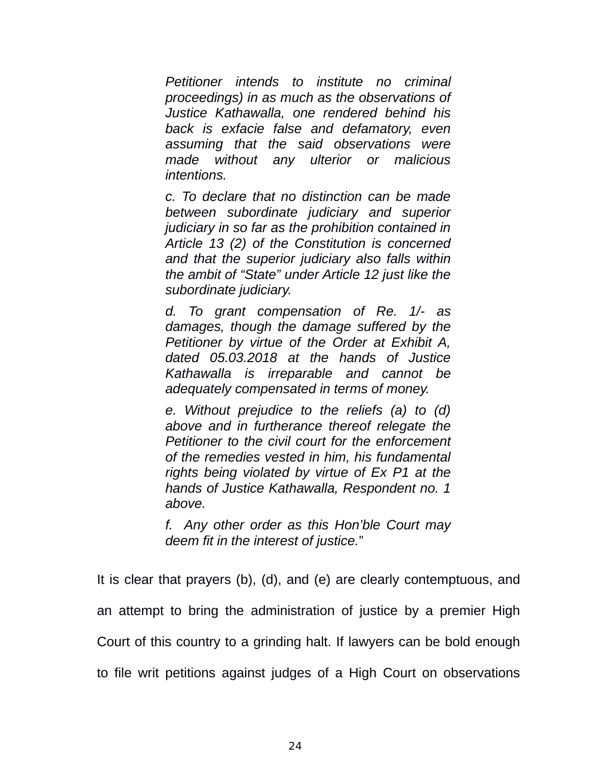*Petitioner intends to institute no criminal proceedings) in as much as the observations of Justice Kathawalla, one rendered behind his back is exfacie false and defamatory, even assuming that the said observations were made without any ulterior or malicious intentions.* 

*c. To declare that no distinction can be made between subordinate judiciary and superior judiciary in so far as the prohibition contained in Article 13 (2) of the Constitution is concerned and that the superior judiciary also falls within the ambit of "State" under Article 12 just like the subordinate judiciary.*

*d. To grant compensation of Re. 1/- as damages, though the damage suffered by the Petitioner by virtue of the Order at Exhibit A, dated 05.03.2018 at the hands of Justice Kathawalla is irreparable and cannot be adequately compensated in terms of money.* 

*e. Without prejudice to the reliefs (a) to (d) above and in furtherance thereof relegate the Petitioner to the civil court for the enforcement of the remedies vested in him, his fundamental rights being violated by virtue of Ex P1 at the hands of Justice Kathawalla, Respondent no. 1 above.* 

*f. Any other order as this Hon'ble Court may deem fit in the interest of justice.*"

It is clear that prayers (b), (d), and (e) are clearly contemptuous, and an attempt to bring the administration of justice by a premier High Court of this country to a grinding halt. If lawyers can be bold enough to file writ petitions against judges of a High Court on observations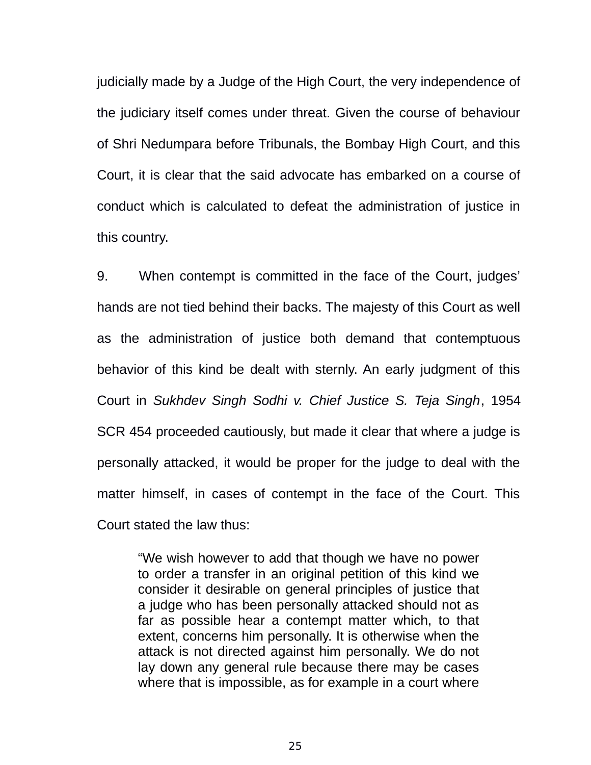judicially made by a Judge of the High Court, the very independence of the judiciary itself comes under threat. Given the course of behaviour of Shri Nedumpara before Tribunals, the Bombay High Court, and this Court, it is clear that the said advocate has embarked on a course of conduct which is calculated to defeat the administration of justice in this country.

9. When contempt is committed in the face of the Court, judges' hands are not tied behind their backs. The majesty of this Court as well as the administration of justice both demand that contemptuous behavior of this kind be dealt with sternly. An early judgment of this Court in *Sukhdev Singh Sodhi v. Chief Justice S. Teja Singh*, 1954 SCR 454 proceeded cautiously, but made it clear that where a judge is personally attacked, it would be proper for the judge to deal with the matter himself, in cases of contempt in the face of the Court. This Court stated the law thus:

"We wish however to add that though we have no power to order a transfer in an original petition of this kind we consider it desirable on general principles of justice that a judge who has been personally attacked should not as far as possible hear a contempt matter which, to that extent, concerns him personally. It is otherwise when the attack is not directed against him personally. We do not lay down any general rule because there may be cases where that is impossible, as for example in a court where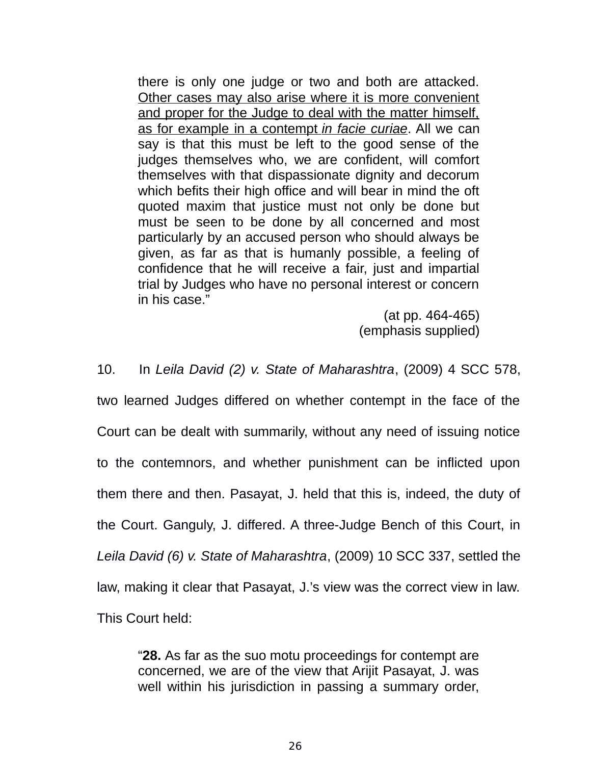there is only one judge or two and both are attacked. Other cases may also arise where it is more convenient and proper for the Judge to deal with the matter himself, as for example in a contempt *in facie curiae*. All we can say is that this must be left to the good sense of the judges themselves who, we are confident, will comfort themselves with that dispassionate dignity and decorum which befits their high office and will bear in mind the oft quoted maxim that justice must not only be done but must be seen to be done by all concerned and most particularly by an accused person who should always be given, as far as that is humanly possible, a feeling of confidence that he will receive a fair, just and impartial trial by Judges who have no personal interest or concern in his case."

> (at pp. 464-465) (emphasis supplied)

10. In *Leila David (2) v. State of Maharashtra*, (2009) 4 SCC 578,

two learned Judges differed on whether contempt in the face of the Court can be dealt with summarily, without any need of issuing notice to the contemnors, and whether punishment can be inflicted upon them there and then. Pasayat, J. held that this is, indeed, the duty of the Court. Ganguly, J. differed. A three-Judge Bench of this Court, in *Leila David (6) v. State of Maharashtra*, (2009) 10 SCC 337, settled the law, making it clear that Pasayat, J.'s view was the correct view in law. This Court held:

"**28.** As far as the suo motu proceedings for contempt are concerned, we are of the view that Arijit Pasayat, J. was well within his jurisdiction in passing a summary order,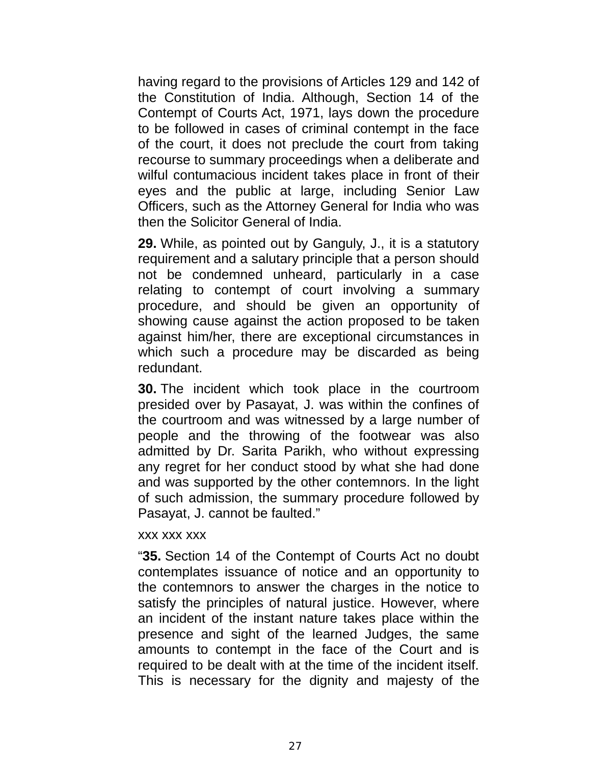having regard to the provisions of Articles 129 and 142 of the Constitution of India. Although, Section 14 of the Contempt of Courts Act, 1971, lays down the procedure to be followed in cases of criminal contempt in the face of the court, it does not preclude the court from taking recourse to summary proceedings when a deliberate and wilful contumacious incident takes place in front of their eyes and the public at large, including Senior Law Officers, such as the Attorney General for India who was then the Solicitor General of India.

**29.** While, as pointed out by Ganguly, J., it is a statutory requirement and a salutary principle that a person should not be condemned unheard, particularly in a case relating to contempt of court involving a summary procedure, and should be given an opportunity of showing cause against the action proposed to be taken against him/her, there are exceptional circumstances in which such a procedure may be discarded as being redundant.

**30.** The incident which took place in the courtroom presided over by Pasayat, J. was within the confines of the courtroom and was witnessed by a large number of people and the throwing of the footwear was also admitted by Dr. Sarita Parikh, who without expressing any regret for her conduct stood by what she had done and was supported by the other contemnors. In the light of such admission, the summary procedure followed by Pasayat, J. cannot be faulted."

#### xxx xxx xxx

"**35.** Section 14 of the Contempt of Courts Act no doubt contemplates issuance of notice and an opportunity to the contemnors to answer the charges in the notice to satisfy the principles of natural justice. However, where an incident of the instant nature takes place within the presence and sight of the learned Judges, the same amounts to contempt in the face of the Court and is required to be dealt with at the time of the incident itself. This is necessary for the dignity and majesty of the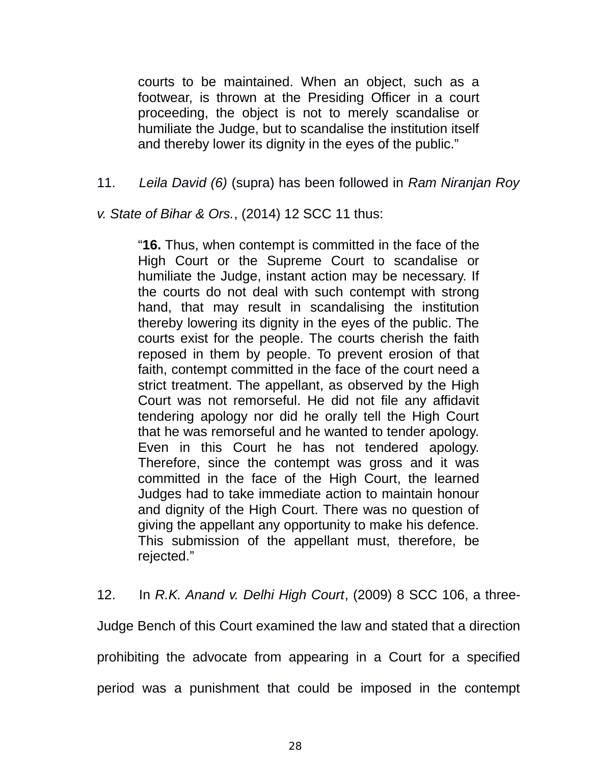courts to be maintained. When an object, such as a footwear, is thrown at the Presiding Officer in a court proceeding, the object is not to merely scandalise or humiliate the Judge, but to scandalise the institution itself and thereby lower its dignity in the eyes of the public."

11. *Leila David (6)* (supra) has been followed in *Ram Niranjan Roy*

*v. State of Bihar & Ors.*, (2014) 12 SCC 11 thus:

"**16.** Thus, when contempt is committed in the face of the High Court or the Supreme Court to scandalise or humiliate the Judge, instant action may be necessary. If the courts do not deal with such contempt with strong hand, that may result in scandalising the institution thereby lowering its dignity in the eyes of the public. The courts exist for the people. The courts cherish the faith reposed in them by people. To prevent erosion of that faith, contempt committed in the face of the court need a strict treatment. The appellant, as observed by the High Court was not remorseful. He did not file any affidavit tendering apology nor did he orally tell the High Court that he was remorseful and he wanted to tender apology. Even in this Court he has not tendered apology. Therefore, since the contempt was gross and it was committed in the face of the High Court, the learned Judges had to take immediate action to maintain honour and dignity of the High Court. There was no question of giving the appellant any opportunity to make his defence. This submission of the appellant must, therefore, be rejected."

12. In *R.K. Anand v. Delhi High Court*, (2009) 8 SCC 106, a three-

Judge Bench of this Court examined the law and stated that a direction prohibiting the advocate from appearing in a Court for a specified period was a punishment that could be imposed in the contempt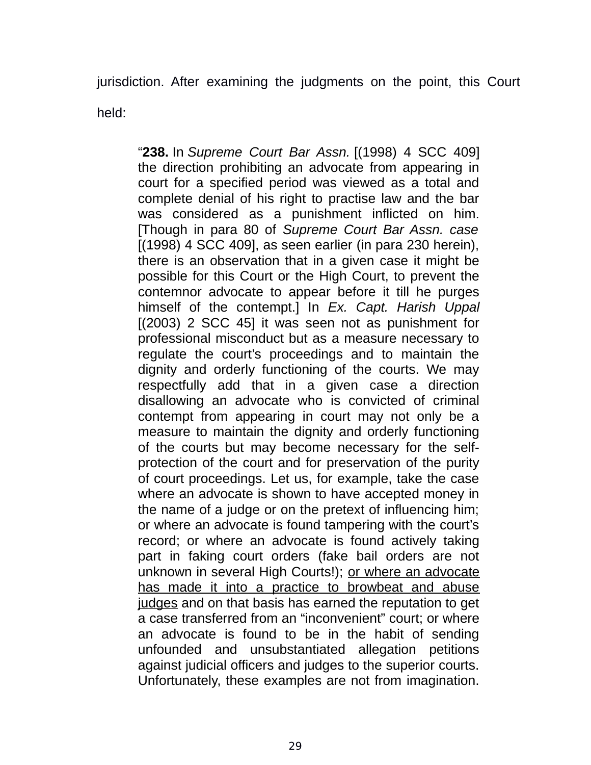jurisdiction. After examining the judgments on the point, this Court held:

"**238.** In *Supreme Court Bar Assn.* [(1998) 4 SCC 409] the direction prohibiting an advocate from appearing in court for a specified period was viewed as a total and complete denial of his right to practise law and the bar was considered as a punishment inflicted on him. [Though in para 80 of *Supreme Court Bar Assn. case*  $[(1998)$  4 SCC 409, as seen earlier (in para 230 herein), there is an observation that in a given case it might be possible for this Court or the High Court, to prevent the contemnor advocate to appear before it till he purges himself of the contempt.] In *Ex. Capt. Harish Uppal* [(2003) 2 SCC 45] it was seen not as punishment for professional misconduct but as a measure necessary to regulate the court's proceedings and to maintain the dignity and orderly functioning of the courts. We may respectfully add that in a given case a direction disallowing an advocate who is convicted of criminal contempt from appearing in court may not only be a measure to maintain the dignity and orderly functioning of the courts but may become necessary for the selfprotection of the court and for preservation of the purity of court proceedings. Let us, for example, take the case where an advocate is shown to have accepted money in the name of a judge or on the pretext of influencing him; or where an advocate is found tampering with the court's record; or where an advocate is found actively taking part in faking court orders (fake bail orders are not unknown in several High Courts!); or where an advocate has made it into a practice to browbeat and abuse judges and on that basis has earned the reputation to get a case transferred from an "inconvenient" court; or where an advocate is found to be in the habit of sending unfounded and unsubstantiated allegation petitions against judicial officers and judges to the superior courts. Unfortunately, these examples are not from imagination.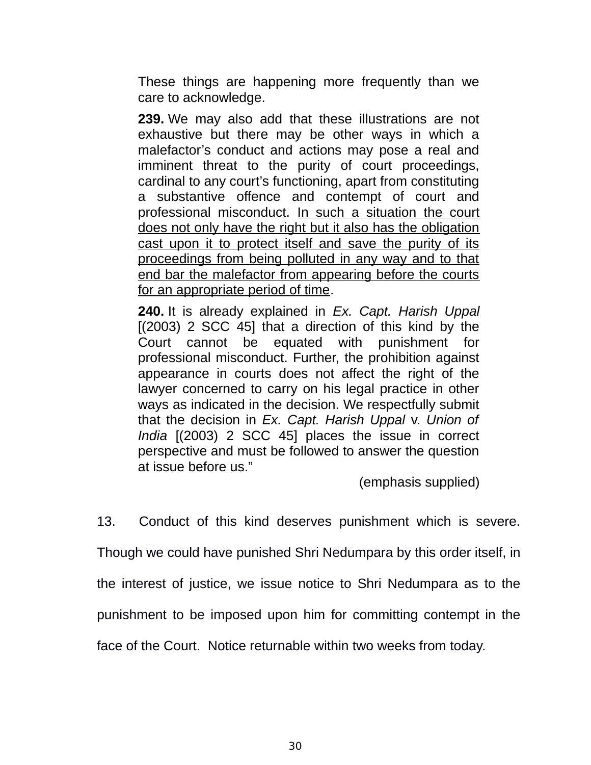These things are happening more frequently than we care to acknowledge.

**239.** We may also add that these illustrations are not exhaustive but there may be other ways in which a malefactor's conduct and actions may pose a real and imminent threat to the purity of court proceedings, cardinal to any court's functioning, apart from constituting a substantive offence and contempt of court and professional misconduct. In such a situation the court does not only have the right but it also has the obligation cast upon it to protect itself and save the purity of its proceedings from being polluted in any way and to that end bar the malefactor from appearing before the courts for an appropriate period of time.

**240.** It is already explained in *Ex. Capt. Harish Uppal*  $[(2003)$  2 SCC 45] that a direction of this kind by the Court cannot be equated with punishment for professional misconduct. Further, the prohibition against appearance in courts does not affect the right of the lawyer concerned to carry on his legal practice in other ways as indicated in the decision. We respectfully submit that the decision in *Ex. Capt. Harish Uppal* v. *Union of India* [(2003) 2 SCC 45] places the issue in correct perspective and must be followed to answer the question at issue before us."

(emphasis supplied)

13. Conduct of this kind deserves punishment which is severe.

Though we could have punished Shri Nedumpara by this order itself, in

the interest of justice, we issue notice to Shri Nedumpara as to the

punishment to be imposed upon him for committing contempt in the

face of the Court. Notice returnable within two weeks from today.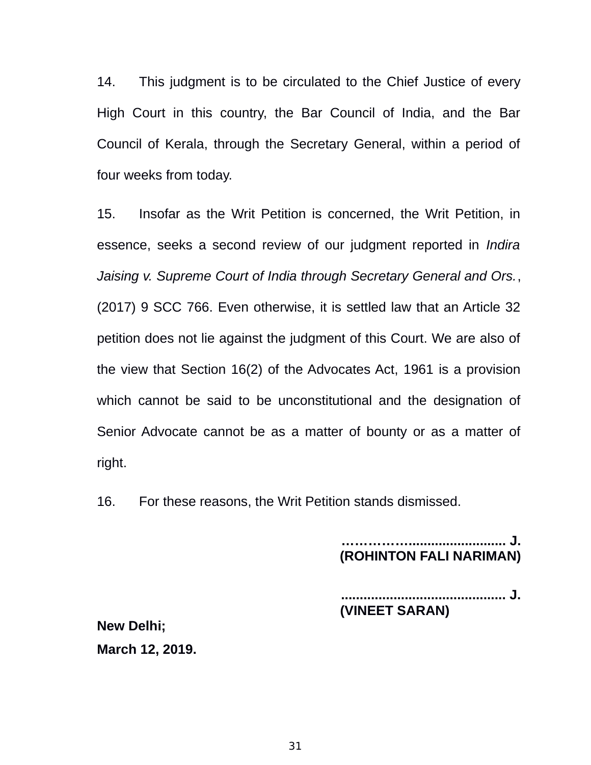14. This judgment is to be circulated to the Chief Justice of every High Court in this country, the Bar Council of India, and the Bar Council of Kerala, through the Secretary General, within a period of four weeks from today.

15. Insofar as the Writ Petition is concerned, the Writ Petition, in essence, seeks a second review of our judgment reported in *Indira Jaising v. Supreme Court of India through Secretary General and Ors.*, (2017) 9 SCC 766. Even otherwise, it is settled law that an Article 32 petition does not lie against the judgment of this Court. We are also of the view that Section 16(2) of the Advocates Act, 1961 is a provision which cannot be said to be unconstitutional and the designation of Senior Advocate cannot be as a matter of bounty or as a matter of right.

16. For these reasons, the Writ Petition stands dismissed.

**…………….......................... J. (ROHINTON FALI NARIMAN)**

**............................................ J. (VINEET SARAN)**

**New Delhi; March 12, 2019.**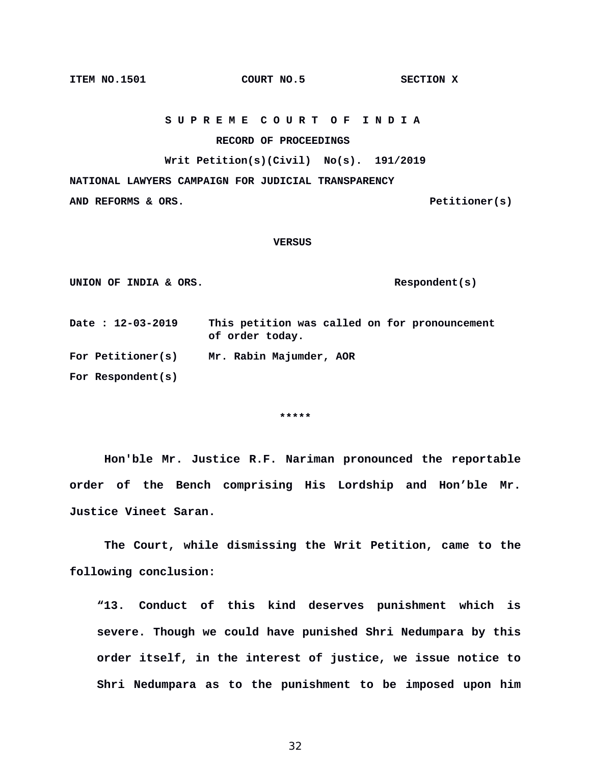32

 **RECORD OF PROCEEDINGS**

**NATIONAL LAWYERS CAMPAIGN FOR JUDICIAL TRANSPARENCY AND REFORMS & ORS. Petitioner(s)**

#### **VERSUS**

 **S U P R E M E C O U R T O F I N D I A**

**Writ Petition(s)(Civil) No(s). 191/2019**

UNION OF INDIA & ORS.

**Date : 12-03-2019 This petition was called on for pronouncement of order today. For Petitioner(s) Mr. Rabin Majumder, AOR** 

**For Respondent(s)**

**\*\*\*\*\***

**Hon'ble Mr. Justice R.F. Nariman pronounced the reportable order of the Bench comprising His Lordship and Hon'ble Mr. Justice Vineet Saran.** 

**The Court, while dismissing the Writ Petition, came to the following conclusion:**

**"13. Conduct of this kind deserves punishment which is severe. Though we could have punished Shri Nedumpara by this order itself, in the interest of justice, we issue notice to Shri Nedumpara as to the punishment to be imposed upon him**